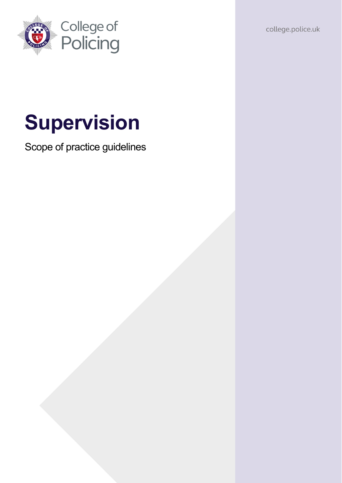



# **Supervision**

Scope of practice guidelines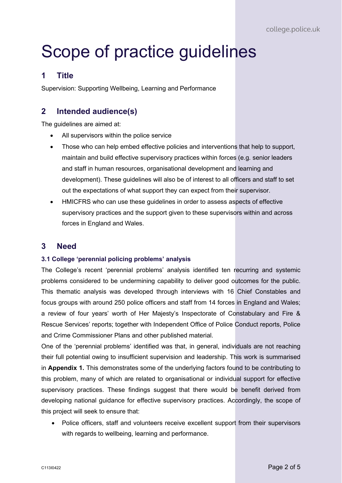## Scope of practice guidelines

## **1 Title**

Supervision: Supporting Wellbeing, Learning and Performance

## **2 Intended audience(s)**

The guidelines are aimed at:

- All supervisors within the police service
- Those who can help embed effective policies and interventions that help to support, maintain and build effective supervisory practices within forces (e.g. senior leaders and staff in human resources, organisational development and learning and development). These guidelines will also be of interest to all officers and staff to set out the expectations of what support they can expect from their supervisor.
- HMICFRS who can use these guidelines in order to assess aspects of effective supervisory practices and the support given to these supervisors within and across forces in England and Wales.

## **3 Need**

#### **3.1 College 'perennial policing problems' analysis**

The College's recent 'perennial problems' analysis identified ten recurring and systemic problems considered to be undermining capability to deliver good outcomes for the public. This thematic analysis was developed through interviews with 16 Chief Constables and focus groups with around 250 police officers and staff from 14 forces in England and Wales; a review of four years' worth of Her Majesty's Inspectorate of Constabulary and Fire & Rescue Services' reports; together with Independent Office of Police Conduct reports, Police and Crime Commissioner Plans and other published material.

One of the 'perennial problems' identified was that, in general, individuals are not reaching their full potential owing to insufficient supervision and leadership. This work is summarised in **Appendix 1.** This demonstrates some of the underlying factors found to be contributing to this problem, many of which are related to organisational or individual support for effective supervisory practices. These findings suggest that there would be benefit derived from developing national guidance for effective supervisory practices. Accordingly, the scope of this project will seek to ensure that:

• Police officers, staff and volunteers receive excellent support from their supervisors with regards to wellbeing, learning and performance.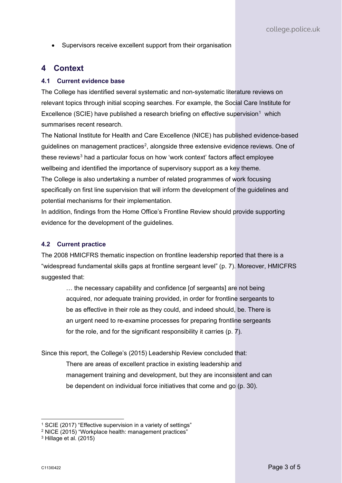• Supervisors receive excellent support from their organisation

## **4 Context**

#### **4.1 Current evidence base**

The College has identified several systematic and non-systematic literature reviews on relevant topics through initial scoping searches. For example, the Social Care Institute for Excellence (SCIE) have published a research briefing on effective supervision<sup>[1](#page-2-0)</sup> which summarises recent research.

The National Institute for Health and Care Excellence (NICE) has published evidence-based guidelines on management practices<sup>[2](#page-2-1)</sup>, alongside three extensive evidence reviews. One of these reviews<sup>[3](#page-2-2)</sup> had a particular focus on how 'work context' factors affect employee wellbeing and identified the importance of supervisory support as a key theme.

The College is also undertaking a number of related programmes of work focusing specifically on first line supervision that will inform the development of the guidelines and potential mechanisms for their implementation.

In addition, findings from the Home Office's Frontline Review should provide supporting evidence for the development of the guidelines.

#### **4.2 Current practice**

The 2008 HMICFRS thematic inspection on frontline leadership reported that there is a "widespread fundamental skills gaps at frontline sergeant level" (p. 7). Moreover, HMICFRS suggested that:

… the necessary capability and confidence [of sergeants] are not being acquired, nor adequate training provided, in order for frontline sergeants to be as effective in their role as they could, and indeed should, be. There is an urgent need to re-examine processes for preparing frontline sergeants for the role, and for the significant responsibility it carries (p. 7).

Since this report, the College's (2015) Leadership Review concluded that:

There are areas of excellent practice in existing leadership and management training and development, but they are inconsistent and can be dependent on individual force initiatives that come and go (p. 30).

<span id="page-2-0"></span><sup>1</sup> SCIE (2017) "Effective supervision in a variety of settings"

<span id="page-2-1"></span><sup>2</sup> NICE (2015) "Workplace health: management practices"

<span id="page-2-2"></span><sup>3</sup> Hillage et al. (2015)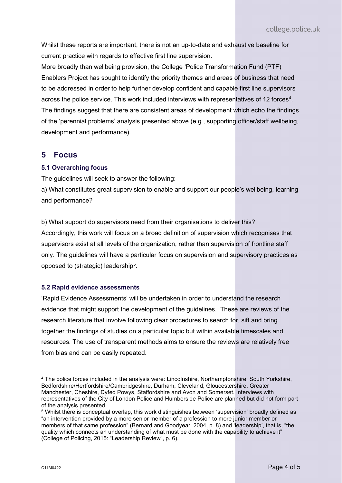Whilst these reports are important, there is not an up-to-date and exhaustive baseline for current practice with regards to effective first line supervision.

More broadly than wellbeing provision, the College 'Police Transformation Fund (PTF) Enablers Project has sought to identify the priority themes and areas of business that need to be addressed in order to help further develop confident and capable first line supervisors across the police service. This work included interviews with representatives of 12 forces<sup>[4](#page-3-0)</sup>. The findings suggest that there are consistent areas of development which echo the findings of the 'perennial problems' analysis presented above (e.g., supporting officer/staff wellbeing, development and performance).

## **5 Focus**

#### **5.1 Overarching focus**

The guidelines will seek to answer the following:

a) What constitutes great supervision to enable and support our people's wellbeing, learning and performance?

b) What support do supervisors need from their organisations to deliver this? Accordingly, this work will focus on a broad definition of supervision which recognises that supervisors exist at all levels of the organization, rather than supervision of frontline staff only. The guidelines will have a particular focus on supervision and supervisory practices as opposed to (strategic) leadership<sup>[5](#page-3-1)</sup>.

#### **5.2 Rapid evidence assessments**

'Rapid Evidence Assessments' will be undertaken in order to understand the research evidence that might support the development of the guidelines. These are reviews of the research literature that involve following clear procedures to search for, sift and bring together the findings of studies on a particular topic but within available timescales and resources. The use of transparent methods aims to ensure the reviews are relatively free from bias and can be easily repeated.

<span id="page-3-0"></span><sup>4</sup> The police forces included in the analysis were: Lincolnshire, Northamptonshire, South Yorkshire, Bedfordshire/Hertfordshire/Cambridgeshire, Durham, Cleveland, Gloucestershire, Greater Manchester, Cheshire, Dyfed Powys, Staffordshire and Avon and Somerset. Interviews with representatives of the City of London Police and Humberside Police are planned but did not form part of the analysis presented.

<span id="page-3-1"></span><sup>5</sup> Whilst there is conceptual overlap, this work distinguishes between 'supervision' broadly defined as "an intervention provided by a more senior member of a profession to more junior member or members of that same profession" (Bernard and Goodyear, 2004, p. 8) and 'leadership', that is, "the quality which connects an understanding of what must be done with the capability to achieve it" (College of Policing, 2015: "Leadership Review", p. 6).